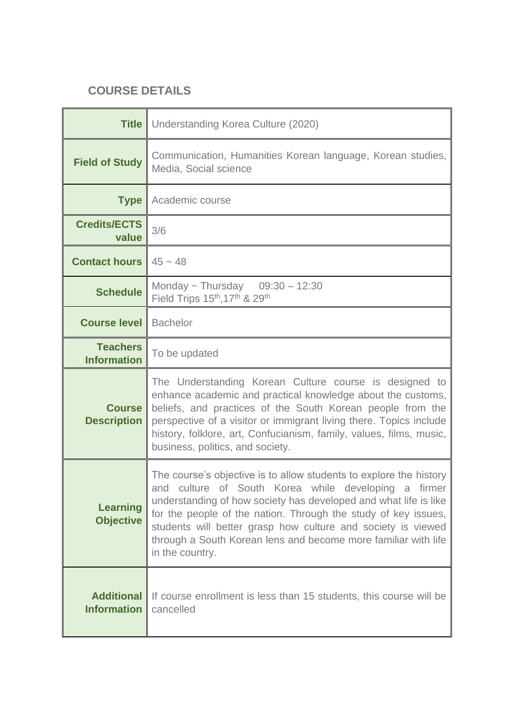## **COURSE DETAILS**

| <b>Title</b>                            | Understanding Korea Culture (2020)                                                                                                                                                                                                                                                                                                                                                                                          |
|-----------------------------------------|-----------------------------------------------------------------------------------------------------------------------------------------------------------------------------------------------------------------------------------------------------------------------------------------------------------------------------------------------------------------------------------------------------------------------------|
| <b>Field of Study</b>                   | Communication, Humanities Korean language, Korean studies,<br>Media, Social science                                                                                                                                                                                                                                                                                                                                         |
| <b>Type</b>                             | Academic course                                                                                                                                                                                                                                                                                                                                                                                                             |
| <b>Credits/ECTS</b><br>value            | 3/6                                                                                                                                                                                                                                                                                                                                                                                                                         |
| <b>Contact hours</b>                    | $45 - 48$                                                                                                                                                                                                                                                                                                                                                                                                                   |
| <b>Schedule</b>                         | Monday ~ Thursday $09:30 - 12:30$<br>Field Trips 15th, 17th & 29th                                                                                                                                                                                                                                                                                                                                                          |
| <b>Course level</b>                     | <b>Bachelor</b>                                                                                                                                                                                                                                                                                                                                                                                                             |
| <b>Teachers</b><br><b>Information</b>   | To be updated                                                                                                                                                                                                                                                                                                                                                                                                               |
| <b>Course</b><br><b>Description</b>     | The Understanding Korean Culture course is designed to<br>enhance academic and practical knowledge about the customs,<br>beliefs, and practices of the South Korean people from the<br>perspective of a visitor or immigrant living there. Topics include<br>history, folklore, art, Confucianism, family, values, films, music,<br>business, politics, and society.                                                        |
| <b>Learning</b><br><b>Objective</b>     | The course's objective is to allow students to explore the history<br>and culture of South Korea while developing<br>firmer<br>a<br>understanding of how society has developed and what life is like<br>for the people of the nation. Through the study of key issues,<br>students will better grasp how culture and society is viewed<br>through a South Korean lens and become more familiar with life<br>in the country. |
| <b>Additional</b><br><b>Information</b> | If course enrollment is less than 15 students, this course will be<br>cancelled                                                                                                                                                                                                                                                                                                                                             |